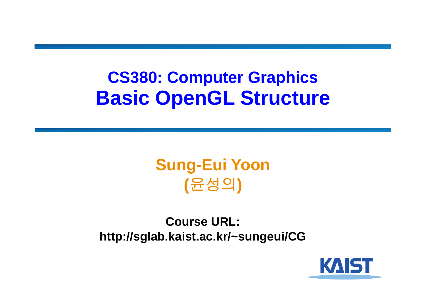#### **CS380: Computer Graphics Basic OpenGL Structure**

#### **Sung-Eui Yoon (**윤성의 **)**

**Course URL: http://sglab.kaist.ac.kr/~sungeui/CG**

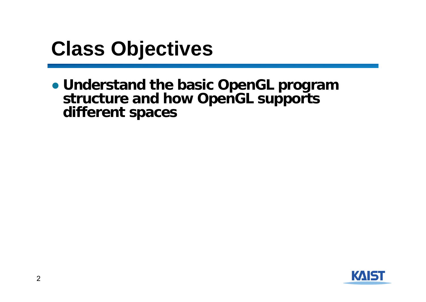### **Class Objectives**

● **Understand the basic OpenGL program structure and how OpenGL supports different spaces**

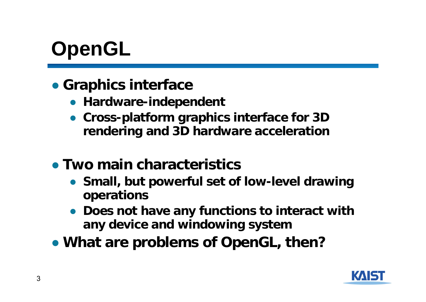## **OpenGL**

- **Graphics interface** 
	- **Hardware-independent**
	- **Cross-platform graphics interface for 3D rendering and 3D hardware acceleration**
- **Two main characteristics**
	- **Small, but powerful set of low-level drawing operations**
	- **Does not have any functions to interact with any device and windowing system**
- **What are problems of OpenGL, then?**

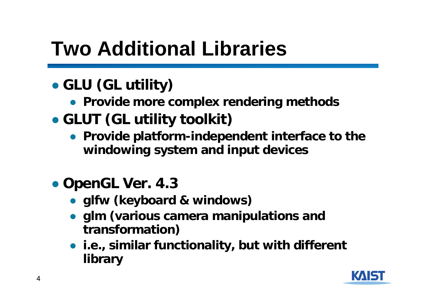## **Two Additional Libraries**

#### ● **GLU (GL utility)**

- **Provide more complex rendering methods**
- **GLUT (GL utility toolkit)**
	- **Provide platform-independent interface to the windowing system and input devices**
- **OpenGL Ver. 4.3**
	- **glfw (keyboard & windows)**
	- **glm (various camera manipulations and transformation)**
	- **i.e., similar functionality, but with different library**

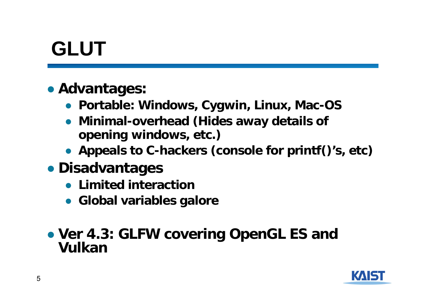## **GLUT**

#### ● **Advantages:**

- **Portable: Windows, Cygwin, Linux, Mac-OS**
- **Minimal-overhead (Hides away details of opening windows, etc.)**
- **Appeals to C-hackers (console for printf()'s, etc)**
- **Disadvantages**
	- **Limited interaction**
	- **Global variables galore**

#### ● **Ver 4.3: GLFW covering OpenGL ES and Vulkan**

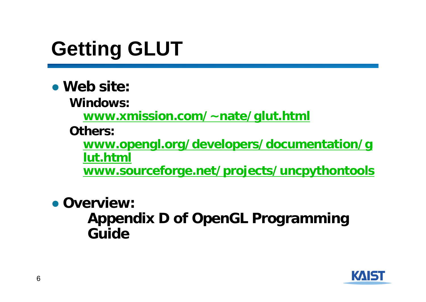# **Getting GLUT**

● **Web site:**

**Windows:**

**www.xmission.com/~nate/glut.html**

**Others:** 

**www.opengl.org/developers/documentation/g lut.html**

**www.sourceforge.net/projects/uncpythontools**

● **Overview: Appendix D of OpenGL Programming Guide**

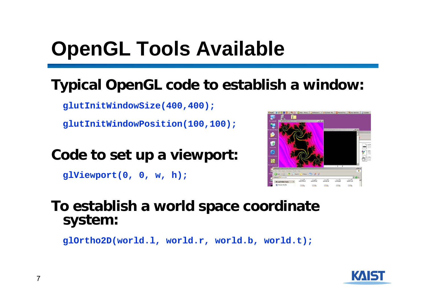## **OpenGL Tools Available**

#### **Typical OpenGL code to establish a window:**

**glutInitWindowSize(400,400);**

**glutInitWindowPosition(100,100);**

#### **Code to set up a viewport:**

**glViewport(0, 0, w, h);**



#### **To establish a world space coordinate system:**

**glOrtho2D(world.l, world.r, world.b, world.t);**

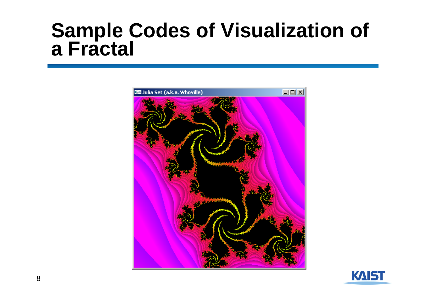# **Sample Codes of Visualization of a Fractal**



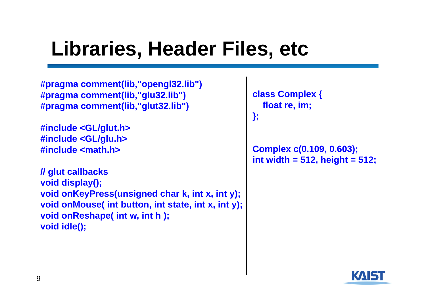### **Libraries, Header Files, etc**

**#pragma comment(lib,"opengl32.lib") #pragma comment(lib,"glu32.lib") #pragma comment(lib,"glut32.lib")**

**#include <GL/glut.h> #include <GL/glu.h> #include <math.h>**

**// glut callbacks void display(); void onKeyPress(unsigned char k, int x, int y); void onMouse( int button, int state, int x, int y); void onReshape( int w, int h ); void idle();**

```
class Complex {
  float re, im; 
};
```
**Complex c(0.109, 0.603); int width = 512, height = 512;**

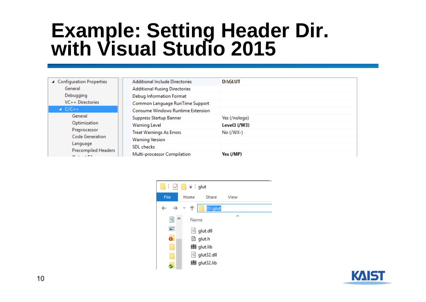# **Example: Setting Header Dir. with Visual Studio 2015**

| ▲ Configuration Properties<br>General<br>Debugging<br>$VC++$ Directories                                                                                               | <b>Additional Include Directories</b>    | <b>D:\GLUT</b> |
|------------------------------------------------------------------------------------------------------------------------------------------------------------------------|------------------------------------------|----------------|
|                                                                                                                                                                        | Additional #using Directories            |                |
|                                                                                                                                                                        | Debug Information Format                 |                |
|                                                                                                                                                                        | Common Language RunTime Support          |                |
| $\triangle$ C/C++<br>General<br>Optimization<br>Preprocessor<br><b>Code Generation</b><br>Language<br>Precompiled Headers<br>$\sim$ $\sim$ $\sim$ $\sim$ $\sim$ $\sim$ | <b>Consume Windows Runtime Extension</b> |                |
|                                                                                                                                                                        | Suppress Startup Banner                  | Yes (/nologo)  |
|                                                                                                                                                                        | <b>Warning Level</b>                     | Level $3(NW3)$ |
|                                                                                                                                                                        | <b>Treat Warnings As Errors</b>          | $No (WX-)$     |
|                                                                                                                                                                        | <b>Warning Version</b>                   |                |
|                                                                                                                                                                        | <b>SDL</b> checks                        |                |
|                                                                                                                                                                        | Multi-processor Compilation              | Yes (/MP)      |



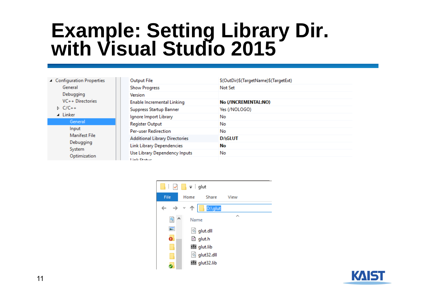# **Example: Setting Library Dir. with Visual Studio 2015**

| ▲ Configuration Properties<br>General<br>Debugging<br>$VC++$ Directories | Output File                           | \$(OutDir)\$(TargetName)\$(TargetExt) |
|--------------------------------------------------------------------------|---------------------------------------|---------------------------------------|
|                                                                          | <b>Show Progress</b>                  | Not Set                               |
|                                                                          | Version                               |                                       |
|                                                                          | Enable Incremental Linking            | No (/INCREMENTAL:NO)                  |
| $D$ C/C++                                                                | Suppress Startup Banner               | Yes (/NOLOGO)                         |
| $\blacktriangle$ Linker                                                  | Ignore Import Library                 | No                                    |
| General                                                                  | <b>Register Output</b>                | No                                    |
| Input<br>Manifest File<br>Debugging<br>System<br>Optimization            | <b>Per-user Redirection</b>           | No                                    |
|                                                                          | <b>Additional Library Directories</b> | <b>D:\GLUT</b>                        |
|                                                                          | <b>Link Library Dependencies</b>      | No                                    |
|                                                                          | Use Library Dependency Inputs         | No                                    |
|                                                                          | .                                     |                                       |



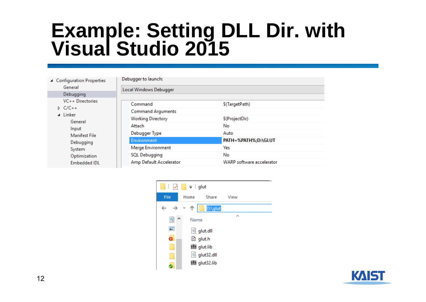# **Example: Setting DLL Dir. with Visual Studio 2015**

| ▲ Configuration Properties                                                   | Debugger to launch:      |                                  |  |
|------------------------------------------------------------------------------|--------------------------|----------------------------------|--|
| General                                                                      | Local Windows Debugger   |                                  |  |
| Debugging                                                                    |                          |                                  |  |
| VC++ Directories<br>$D$ C/C++<br>$\blacktriangle$ Linker<br>General<br>Input | Command                  | \$(TargetPath)                   |  |
|                                                                              | <b>Command Arguments</b> |                                  |  |
|                                                                              | <b>Working Directory</b> | \$(ProjectDir)                   |  |
|                                                                              | Attach                   | No.                              |  |
| Manifest File                                                                | Debugger Type            | Auto                             |  |
| Debugging<br>System<br>Optimization<br><b>Embedded IDL</b>                   | Environment              | PATH=%PATH%;D:\GLUT              |  |
|                                                                              | Merge Environment        | Yes                              |  |
|                                                                              | SQL Debugging            | No                               |  |
|                                                                              | Amp Default Accelerator  | <b>WARP</b> software accelerator |  |



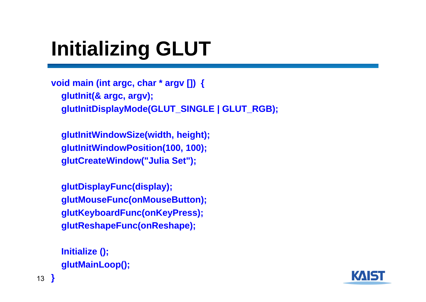## **Initializing GLUT**

```
void main (int argc, char * argv []) {
  glutInit(& argc, argv);
  glutInitDisplayMode(GLUT_SINGLE | GLUT_RGB);
```
**glutInitWindowSize(width, height); glutInitWindowPosition(100, 100); glutCreateWindow("Julia Set");**

```
glutDisplayFunc(display);
glutMouseFunc(onMouseButton);
glutKeyboardFunc(onKeyPress);
glutReshapeFunc(onReshape);
```

```
Initialize ();
glutMainLoop();
```
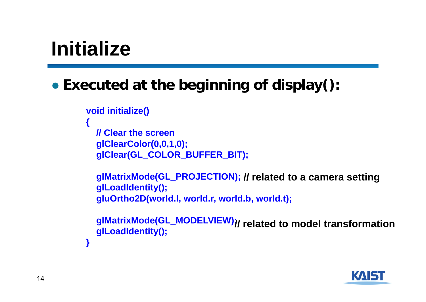### **Initialize**

#### ● **Executed at the beginning of display():**

```
void initialize()
```

```
{
```

```
// Clear the screenglClearColor(0,0,1,0);
glClear(GL_COLOR_BUFFER_BIT);
```

```
glMatrixMode(GL_PROJECTION);
// related to a camera setting
glLoadIdentity();
gluOrtho2D(world.l, world.r, world.b, world.t);
```

```
glMatrixMode(GL_MODELVIEW);
// related to model transformationglLoadIdentity();
```
**}**

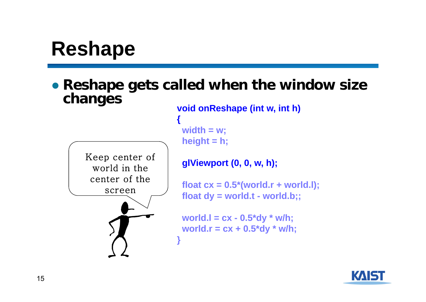### **Reshape**

● **Reshape gets called when the window size changes void onReshape (int w, int h)**

Keep center of world in the center of the screen



**width = w; height = h;**

**{**

**glViewport (0, 0, w, h);**

**float cx = 0.5\*(world.r + world.l);**  $float dy = world.t - world.b;$ ;

**world.l = cx - 0.5\*dy \* w/h; world.r = cx + 0.5\*dy \* w/h; }**

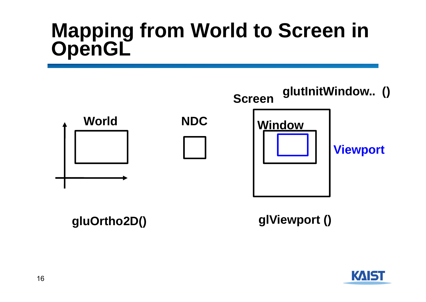# **Mapping from World to Screen in OpenGL**



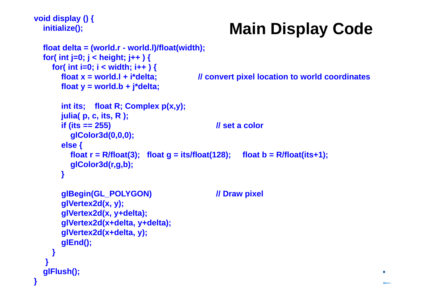```
void display () {
  initialize();
```
**}**

#### **Main Display Code**

```
17float delta = (world.r - world.l)/float(width);<br>for( int i=0: i < height: i++ ) {
 for( int j=0; j < height; j++ j<for( int i=0; i < width; i++ (float x = world.l + i*delta; // convert pixel location to world coordinates
      float y = world.b + j*delta;
      int its; float R; Complex p(x,y);
      julia( p, c, its, R );
      if (its == 255) // set a color
        glColor3d(0,0,0);
      else {
        float r = R/fload(3); float q = its/fload(128); float b = R/fload(its+1);
        glColor3d(r,g,b);
      }
      glBegin(GL_POLYGON) // Draw pixel
      glVertex2d(x, y); 
      glVertex2d(x, y+delta);
      glVertex2d(x+delta, y+delta); 
      glVertex2d(x+delta, y);
      glEnd();
   }
  }
 glFlush();
```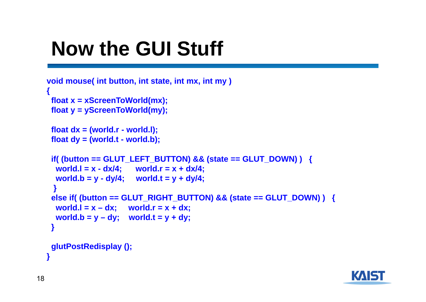## **Now the GUI Stuff**

```
void mouse( int button, int state, int mx, int my )
{
 float x = xScreenToWorld(mx);
 float y = yScreenToWorld(my);
 float dx = (world.r - world.l); 
 float dy = (world.t - world.b);
 if( (button == GLUT_LEFT_BUTTON) && (state == GLUT_DOWN) ) {
  world.I = x - dx/4; world.r = x + dx/4;
  word.b = y - dy/4; world.t = y + dy/4;
  }
 else if( (button == GLUT_RIGHT_BUTTON) && (state == GLUT_DOWN) ) {
  \text{world.}\mathsf{I} = \mathsf{x} - \mathsf{d}\mathsf{x}; world.r = \mathsf{x} + \mathsf{d}\mathsf{x};
  \text{world.b} = \text{y} - \text{dy}; \quad \text{world.t} = \text{y} + \text{dy};}
 glutPostRedisplay (); 
}
```
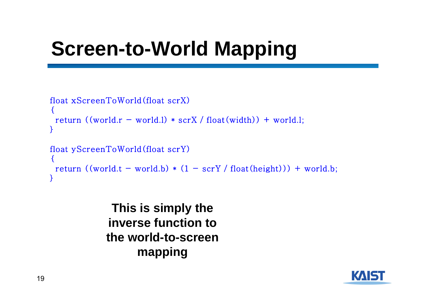## **Screen-to-World Mapping**

```
float xScreenToWorld(float scrX)
{
 return ((world.r - world.1) * scrX / float(width)) + world.1;}
float yScreenToWorld(float scrY)
{
 return ((world.t - world.b) * (1 - scrY / float(height))) + world.b;}
```
**This is simply the inverse function to the world-to-screen mapping**

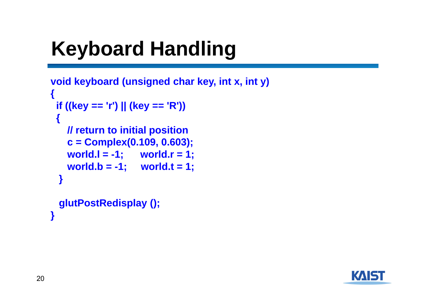# **Keyboard Handling**

```
void keyboard (unsigned char key, int x, int y)
{
 if ((key == 'r') || (key == 'R'))
 {
   // return to initial position
   c = Complex(0.109, 0.603);
   world.l = -1; world.r = 1;
   world.b = -1; world.t = 1;
 }
 glutPostRedisplay (); 
}
```
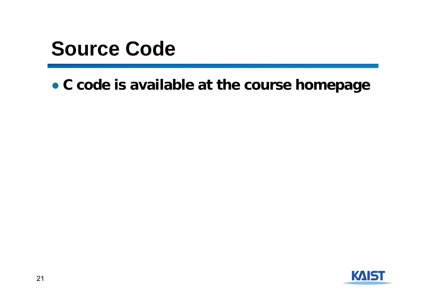#### **Source Code**

● **C code is available at the course homepage**

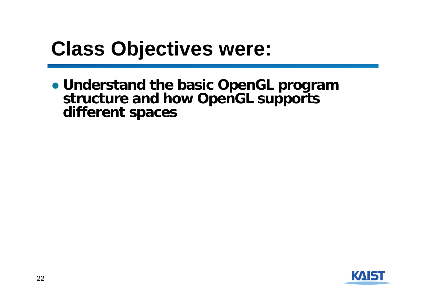### **Class Objectives were:**

● **Understand the basic OpenGL program structure and how OpenGL supports different spaces**

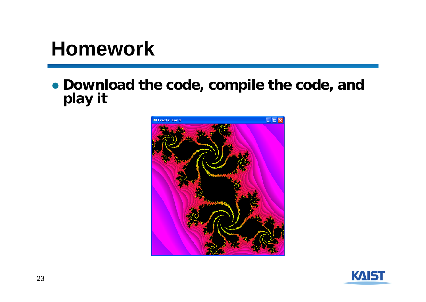### **Homework**

● **Download the code, compile the code, and play it**



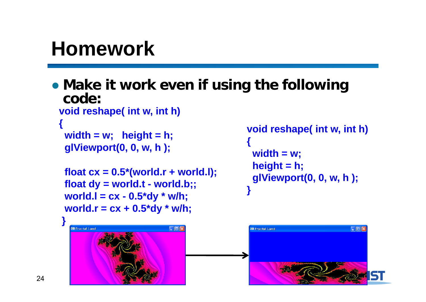## **Homework**

● **Make it work even if using the following code:**

```
void reshape( int w, int h)
```

```
{
width = w; height = h;
glViewport(0, 0, w, h );
```

```
float cx = 0.5*(world.r + world.l);
float dy = world.t - world.b;;
word.I = cx - 0.5*dy * w/h;world.r = cx + 0.5*dy * w/h;
```

```
void reshape( int w, int h)
{
 width = w;
 height = h;
 glViewport(0, 0, w, h );
}
```
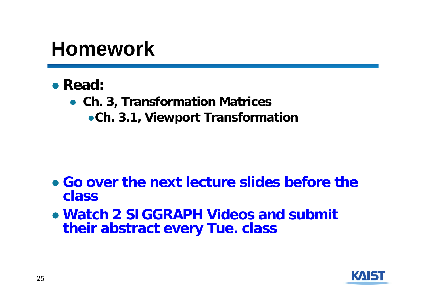#### **Homework**

- **Read:** 
	- **Ch. 3, Transformation Matrices**
		- ●**Ch. 3.1, Viewport Transformation**

- **Go over the next lecture slides before the class**
- **Watch 2 SIGGRAPH Videos and submit their abstract every Tue. class**

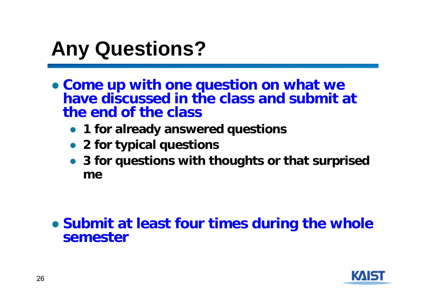## **Any Questions?**

- **Come up with one question on what we have discussed in the class and submit at the end of the class**
	- **1 for already answered questions**
	- **2 for typical questions**
	- **3 for questions with thoughts or that surprised me**

#### ● **Submit at least four times during the whole semester**